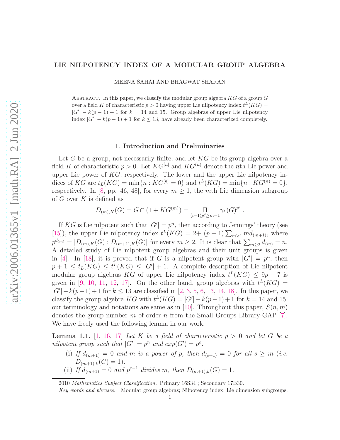# LIE NILPOTENCY INDEX OF A MODULAR GROUP ALGEBRA

MEENA SAHAI AND BHAGWAT SHARAN

ABSTRACT. In this paper, we classify the modular group algebra  $KG$  of a group  $G$ over a field K of characteristic  $p > 0$  having upper Lie nilpotency index  $t^L(KG)$  $|G'| - k(p-1) + 1$  for  $k = 14$  and 15. Group algebras of upper Lie nilpotency index  $|G'| - k(p-1) + 1$  for  $k \le 13$ , have already been characterized completely.

## 1. Introduction and Preliminaries

Let G be a group, not necessarily finite, and let  $KG$  be its group algebra over a field K of characteristic  $p > 0$ . Let  $KG^{[n]}$  and  $KG^{(n)}$  denote the nth Lie power and upper Lie power of  $KG$ , respectively. The lower and the upper Lie nilpotency indices of KG are  $t_L(KG) = \min\{n : KG^{[n]} = 0\}$  and  $t^L(KG) = \min\{n : KG^{(n)} = 0\},$ respectively. In [\[8,](#page-8-0) pp. 46, 48], for every  $m \geq 1$ , the mth Lie dimension subgroup of  $G$  over  $K$  is defined as

$$
D_{(m),K}(G) = G \cap (1 + KG^{(m)}) = \prod_{(i-1)p^{j} \ge m-1} \gamma_{i} (G)^{p^{j}}.
$$

If KG is Lie nilpotent such that  $|G'| = p^n$ , then according to Jennings' theory (see [\[15\]](#page-10-0)), the upper Lie nilpotency index  $t^L(KG) = 2 + (p-1) \sum_{m \geq 1} md_{(m+1)}$ , where  $p^{d_{(m)}} = |D_{(m),K}(G): D_{(m+1),K}(G)|$  for every  $m \ge 2$ . It is clear that  $\sum_{m \ge 2} d_{(m)} = n$ . A detailed study of Lie nilpotent group algebras and their unit groups is given in [\[4\]](#page-8-1). In [\[18\]](#page-10-1), it is proved that if G is a nilpotent group with  $|G'| = p^n$ , then  $p+1 \leq t_L(KG) \leq t^L(KG) \leq |G'|+1.$  A complete description of Lie nilpotent modular group algebras KG of upper Lie nilpotency index  $t^L(KG) \leq 9p - 7$  is given in [\[9,](#page-8-2) [10,](#page-10-2) [11,](#page-10-3) [12,](#page-10-4) [17\]](#page-10-5). On the other hand, group algebras with  $t^L(KG)$  =  $|G'|-k(p-1)+1$  for  $k \leq 13$  are classified in [\[2,](#page-8-3) [3,](#page-8-4) [5,](#page-8-5) [6,](#page-8-6) [13,](#page-10-6) [14,](#page-10-7) [18\]](#page-10-1). In this paper, we classify the group algebra KG with  $t^L(KG) = |G'| - k(p-1) + 1$  for  $k = 14$  and 15. our terminology and notations are same as in [\[10\]](#page-10-2). Throughout this paper,  $S(n, m)$ denotes the group number m of order n from the Small Groups Library-GAP [\[7\]](#page-8-7). We have freely used the following lemma in our work:

<span id="page-0-0"></span>**Lemma 1.1.** [\[1,](#page-8-8) [16,](#page-10-8) [17\]](#page-10-5) Let K be a field of characteristic  $p > 0$  and let G be a *nilpotent group such that*  $|G'| = p^n$  *and*  $exp(G') = p^e$ .

- (i) If  $d_{(m+1)} = 0$  and m is a power of p, then  $d_{(s+1)} = 0$  for all  $s \geq m$  (*i.e.*  $D_{(m+1),k}(G) = 1$ .
- (ii) *If*  $d_{(m+1)} = 0$  *and*  $p^{e-1}$  *divides* m, *then*  $D_{(m+1),k}(G) = 1$ *.*

<sup>2010</sup> Mathematics Subject Classification. Primary 16S34 ; Secondary 17B30.

Key words and phrases. Modular group algebras; Nilpotency index; Lie dimension subgroups.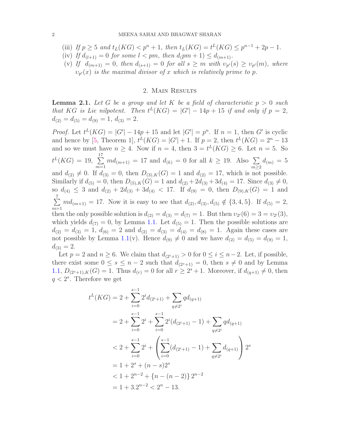(iii) *If*  $p \ge 5$  *and*  $t_L(KG) < p^n + 1$ *, then*  $t_L(KG) = t^L(KG) \le p^{n-1} + 2p - 1$ *.* (iv) If  $d_{(l+1)} = 0$  for some  $l < pm$ , then  $d_{(pm+1)} \leq d_{(m+1)}$ . (v) If  $d_{(m+1)} = 0$ , then  $d_{(s+1)} = 0$  for all  $s \geq m$  with  $v_{p}(s) \geq v_{p}(m)$ , where  $v_{p'}(x)$  *is the maximal divisor of* x *which is relatively prime to* p.

#### 2. Main Results

<span id="page-1-0"></span>Lemma 2.1. *Let* G *be a group and let* K *be a field of characteristic* p > 0 *such that* KG *is Lie nilpotent.* Then  $t^L(KG) = |G'| - 14p + 15$  *if and only if*  $p = 2$ *,*  $d_{(2)} = d_{(5)} = d_{(9)} = 1, d_{(3)} = 2.$ 

*Proof.* Let  $t^L(KG) = |G'| - 14p + 15$  and let  $|G'| = p^n$ . If  $n = 1$ , then G' is cyclic and hence by [\[5,](#page-8-5) Theorem 1],  $t^L(KG) = |G'| + 1$ . If  $p = 2$ , then  $t^L(KG) = 2<sup>n</sup> - 13$ and so we must have  $n \geq 4$ . Now if  $n = 4$ , then  $3 = t^L(KG) \geq 6$ . Let  $n = 5$ . So  $t^L(KG) = 19, \sum$ 17  $m=1$  $md_{(m+1)} = 17$  and  $d_{(k)} = 0$  for all  $k \ge 19$ . Also  $\Sigma$  $m \geq 2$  $d_{(m)} = 5$ and  $d_{(2)} \neq 0$ . If  $d_{(3)} = 0$ , then  $D_{(3),K}(G) = 1$  and  $d_{(2)} = 17$ , which is not possible. Similarly if  $d_{(5)} = 0$ , then  $D_{(5),K}(G) = 1$  and  $d_{(2)} + 2d_{(3)} + 3d_{(4)} = 17$ . Since  $d_{(3)} \neq 0$ , so  $d_{(4)} \leq 3$  and  $d_{(2)} + 2d_{(3)} + 3d_{(4)} < 17$ . If  $d_{(9)} = 0$ , then  $D_{(9),K}(G) = 1$  and  $\sum$ 7  $m=1$  $md_{(m+1)} = 17.$  Now it is easy to see that  $d_{(2)}, d_{(3)}, d_{(5)} \notin \{3,4,5\}.$  If  $d_{(5)} = 2,$ then the only possible solution is  $d_{(2)} = d_{(3)} = d_{(7)} = 1$ . But then  $v_{2}(6) = 3 = v_{2}(3)$ , which yields  $d_{(7)} = 0$ , by Lemma [1.1.](#page-0-0) Let  $d_{(5)} = 1$ . Then the possible solutions are  $d_{(2)} = d_{(3)} = 1, d_{(6)} = 2$  and  $d_{(2)} = d_{(3)} = d_{(4)} = d_{(8)} = 1$ . Again these cases are not possible by Lemma [1.1\(](#page-0-0)v). Hence  $d_{(9)} \neq 0$  and we have  $d_{(2)} = d_{(5)} = d_{(9)} = 1$ ,  $d_{(3)} = 2.$ 

Let  $p = 2$  and  $n \ge 6$ . We claim that  $d_{(2^i+1)} > 0$  for  $0 \le i \le n-2$ . Let, if possible, there exist some  $0 \le s \le n-2$  such that  $d_{(2^s+1)} = 0$ , then  $s \neq 0$  and by Lemma [1.1,](#page-0-0)  $D_{(2^s+1),K}(G) = 1$ . Thus  $d_{(r)} = 0$  for all  $r \geq 2^s + 1$ . Moreover, if  $d_{(q+1)} \neq 0$ , then  $q < 2<sup>s</sup>$ . Therefore we get

$$
t^{L}(KG) = 2 + \sum_{i=0}^{s-1} 2^{i} d_{(2^{i}+1)} + \sum_{q \neq 2^{i}} q d_{(q+1)}
$$
  
=  $2 + \sum_{i=0}^{s-1} 2^{i} + \sum_{i=0}^{s-1} 2^{i} (d_{(2^{i}+1)} - 1) + \sum_{q \neq 2^{i}} q d_{(q+1)}$   
 $< 2 + \sum_{i=0}^{s-1} 2^{i} + \left( \sum_{i=0}^{s-1} (d_{(2^{i}+1)} - 1) + \sum_{q \neq 2^{i}} d_{(q+1)} \right) 2^{s}$   
=  $1 + 2^{s} + (n - s) 2^{s}$   
 $< 1 + 2^{n-2} + \{n - (n - 2)\} 2^{n-2}$   
=  $1 + 3 \cdot 2^{n-2} < 2^{n} - 13.$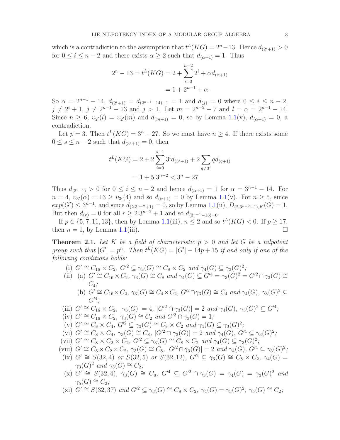which is a contradiction to the assumption that  $t^L(KG) = 2^n - 13$ . Hence  $d_{(2^i+1)} > 0$ for  $0 \le i \le n-2$  and there exists  $\alpha \ge 2$  such that  $d_{(\alpha+1)} = 1$ . Thus

$$
2^{n} - 13 = t^{L}(KG) = 2 + \sum_{i=0}^{n-2} 2^{i} + \alpha d_{(\alpha+1)}
$$

$$
= 1 + 2^{n-1} + \alpha.
$$

So  $\alpha = 2^{n-1} - 14$ ,  $d_{(2^{i}+1)} = d_{(2^{n-1}-14)+1} = 1$  and  $d_{(i)} = 0$  where  $0 \leq i \leq n-2$ ,  $j \neq 2^{i} + 1$ ,  $j \neq 2^{n-1} - 13$  and  $j > 1$ . Let  $m = 2^{n-2} - 7$  and  $l = \alpha = 2^{n-1} - 14$ . Since  $n \geq 6$ ,  $v_{2}(l) = v_{2}(m)$  and  $d_{(m+1)} = 0$ , so by Lemma [1.1\(](#page-0-0)v),  $d_{(\alpha+1)} = 0$ , a contradiction.

Let  $p = 3$ . Then  $t^L(KG) = 3^n - 27$ . So we must have  $n \geq 4$ . If there exists some  $0 \leq s \leq n-2$  such that  $d_{(3^s+1)} = 0$ , then

$$
t^{L}(KG) = 2 + 2\sum_{i=0}^{s-1} 3^{i} d_{(3^{i}+1)} + 2\sum_{q \neq 3^{i}} q d_{(q+1)}
$$

$$
= 1 + 5 \cdot 3^{n-2} < 3^{n} - 27.
$$

Thus  $d_{(3^i+1)} > 0$  for  $0 \leq i \leq n-2$  and hence  $d_{(\alpha+1)} = 1$  for  $\alpha = 3^{n-1} - 14$ . For  $n = 4, v_{3}(0) = 13 \ge v_{3}(4)$  and so  $d_{(\alpha+1)} = 0$  by Lemma [1.1\(](#page-0-0)v). For  $n \ge 5$ , since  $exp(G') \leq 3^{n-1}$ , and since  $d_{(2,3^{n-2}+1)} = 0$ , so by Lemma [1.1\(](#page-0-0)ii),  $D_{(2,3^{n-2}+1),K}(G) = 1$ . But then  $d_{(r)} = 0$  for all  $r \geq 2.3^{n-2} + 1$  and so  $d_{(3^{n-1}-13)=0}$ .

If  $p \in \{5, 7, 11, 13\}$ , then by Lemma [1.1\(](#page-0-0)iii),  $n \leq 2$  and so  $t^L(KG) < 0$ . If  $p \geq 17$ , then  $n = 1$ , by Lemma [1.1\(](#page-0-0)iii).

**Theorem 2.1.** Let K be a field of characteristic  $p > 0$  and let G be a nilpotent *group such that*  $|G'| = p^n$ . Then  $t^L(KG) = |G'| - 14p + 15$  *if and only if one of the following conditions holds:*

- (i)  $G' \cong C_{16} \times C_2$ ,  $G'^2 \subseteq \gamma_3(G) \cong C_8 \times C_2$  *and*  $\gamma_4(G) \subseteq \gamma_3(G)^2$ ;
- (ii) (a)  $G' \cong C_{16} \times C_2$ ,  $\gamma_3(G) \cong C_8$  *and*  $\gamma_4(G) \subseteq G'^4 = \gamma_3(G)^2 = G'^2 \cap \gamma_3(G) \cong$ C4*;*
	- (b)  $G' \cong C_{16} \times C_2$ ,  $\gamma_3(G) \cong C_4 \times C_2$ ,  $G'^2 \cap \gamma_3(G) \cong C_4$  *and*  $\gamma_4(G)$ ,  $\gamma_3(G)^2 \subseteq C_4$ G′<sup>4</sup> *;*

(iii) 
$$
G' \cong C_{16} \times C_2
$$
,  $|\gamma_3(G)| = 4$ ,  $|G'^2 \cap \gamma_3(G)| = 2$  and  $\gamma_4(G)$ ,  $\gamma_3(G)^2 \subseteq G'^4$ ;

- (iv)  $G' \cong C_{16} \times C_2$ ,  $\gamma_3(G) \cong C_2$  *and*  $G'^2 \cap \gamma_3(G) = 1$ ;
- $(v)$   $G' \cong C_8 \times C_4$ ,  $G'^2 \subseteq \gamma_3(G) \cong C_8 \times C_2$  *and*  $\gamma_4(G) \subseteq \gamma_3(G)^2$ ;
- $(vi)$   $G' \cong C_8 \times C_4$ ,  $\gamma_3(G) \cong C_8$ ,  $|G'^2 \cap \gamma_3(G)| = 2$  *and*  $\gamma_4(G)$ ,  $G'^4 \subseteq \gamma_3(G)^2$ ;
- (vii)  $G' \cong C_8 \times C_2 \times C_2$ ,  $G'^2 \subseteq \gamma_3(G) \cong C_8 \times C_2$  *and*  $\gamma_4(G) \subseteq \gamma_3(G)^2$ ;
- (viii)  $G' \cong C_8 \times C_2 \times C_2$ ,  $\gamma_3(G) \cong C_8$ ,  $|G'^2 \cap \gamma_3(G)| = 2$  *and*  $\gamma_4(G)$ ,  $G'^4 \subseteq \gamma_3(G)^2$ ;
- (ix)  $G' \cong S(32, 4)$  *or*  $S(32, 5)$  *or*  $S(32, 12)$ *,*  $G'^2 \subseteq \gamma_3(G) \cong C_8 \times C_2$ *,*  $\gamma_4(G) =$  $\gamma_3(G)^2$  and  $\gamma_5(G) \cong C_2$ ;
- $(x) G' \cong S(32, 4), \ \gamma_3(G) \cong C_8, \ G'^4 \subseteq G'^2 \cap \gamma_3(G) = \gamma_4(G) = \gamma_3(G)^2$  and  $\gamma_5(G) \cong C_2$ ;
- (xi)  $G' \cong S(32, 37)$  *and*  $G'^2 \subseteq \gamma_3(G) \cong C_8 \times C_2$ ,  $\gamma_4(G) = \gamma_3(G)^2$ ,  $\gamma_5(G) \cong C_2$ ;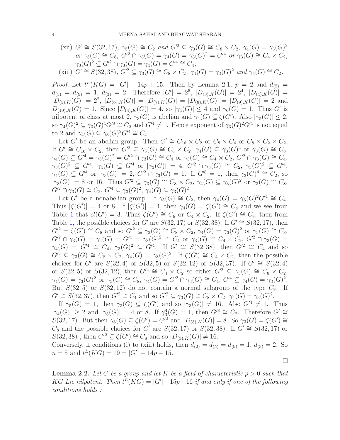$(xii)$   $G' \cong S(32, 17), \gamma_5(G) \cong C_2$  *and*  $G'^2 \subseteq \gamma_3(G) \cong C_8 \times C_2, \gamma_4(G) = \gamma_3(G)^2$  $or \gamma_3(G) \cong C_8$ ,  $G'^2 \cap \gamma_3(G) = \gamma_4(G) = \gamma_3(G)^2 = G'^4$  *or*  $\gamma_3(G) \cong C_4 \times C_2$ ,  $\gamma_3(G)^2 \subseteq G'^2 \cap \gamma_3(G) = \gamma_4(G) = G'^4 \cong C_4;$ (xiii)  $G' \cong S(32, 38)$ ,  $G'^2 \subseteq \gamma_3(G) \cong C_8 \times C_2$ ,  $\gamma_4(G) = \gamma_3(G)^2$  and  $\gamma_5(G) \cong C_2$ .

*Proof.* Let  $t^L(KG) = |G'| - 14p + 15$ . Then by Lemma 2.1,  $p = 2$  and  $d_{(2)} =$  $d_{(5)} = d_{(9)} = 1, d_{(3)} = 2.$  Therefore  $|G'| = 2^5, |D_{(3),K}(G)| = 2^4, |D_{(4),K}(G)| = 1$  $|D_{(5),K}(G)| = 2^2$ ,  $|D_{(6),K}(G)| = |D_{(7),K}(G)| = |D_{(8),K}(G)| = |D_{(9),K}(G)| = 2$  and  $D_{(10),K}(G) = 1$ . Since  $|D_{(4),K}(G)| = 4$ , so  $|\gamma_4(G)| \leq 4$  and  $\gamma_6(G) = 1$ . Thus G' is nilpotent of class at most 2,  $\gamma_3(G)$  is abelian and  $\gamma_4(G) \subseteq \zeta(G')$ . Also  $|\gamma_5(G)| \leq 2$ , so  $\gamma_4(G)^2 \subseteq \gamma_3(G)^4 G^8 \cong C_2$  and  $G'^4 \neq 1$ . Hence exponent of  $\gamma_3(G)^2 G'^4$  is not equal to 2 and  $\gamma_4(G) \subseteq \gamma_3(G)^2 G'^4 \cong C_4$ .

Let G' be an abelian group. Then  $G' \cong C_{16} \times C_2$  or  $C_8 \times C_4$  or  $C_8 \times C_2 \times C_2$ . If  $G' \cong C_{16} \times C_2$ , then  $G'^2 \subseteq \gamma_3(G) \cong C_8 \times C_2$ ,  $\gamma_4(G) \subseteq \gamma_3(G)^2$  or  $\gamma_3(G) \cong C_8$ ,  $\gamma_4(G) \subseteq G'^4 = \gamma_3(G)^2 = G'^2 \cap \gamma_3(G) \cong C_4 \text{ or } \gamma_3(G) \cong C_4 \times C_2, G'^2 \cap \gamma_3(G) \cong C_4,$  $\gamma_3(G)^2 \subseteq G'^4$ ,  $\gamma_4(G) \subseteq G'^4$  or  $|\gamma_3(G)| = 4$ ,  $G'^2 \cap \gamma_3(G) \cong C_2$ ,  $\gamma_3(G)^2 \subseteq G'^4$ ,  $\gamma_4(G) \subseteq G'^4$  or  $|\gamma_3(G)| = 2$ ,  $G'^2 \cap \gamma_3(G) = 1$ . If  $G'^8 = 1$ , then  $\gamma_3(G)^4 \cong C_2$ , so  $|\gamma_3(G)| = 8$  or 16. Thus  $G'^2 \subseteq \gamma_3(G) \cong C_8 \times C_2$ ,  $\gamma_4(G) \subseteq \gamma_3(G)^2$  or  $\gamma_3(G) \cong C_8$ ,  $G'^2 \cap \gamma_3(G) \cong C_2, G'^4 \subseteq \gamma_3(G)^2, \gamma_4(G) \subseteq \gamma_3(G)^2.$ 

Let G' be a nonabelian group. If  $\gamma_5(G) \cong C_2$ , then  $\gamma_4(G) = \gamma_3(G)^2 G^{\prime 4} \cong C_4$ . Thus  $|\zeta(G')|=4$  or 8. If  $|\zeta(G')|=4$ , then  $\gamma_4(G)=\zeta(G')\cong C_4$  and we see from Table [1](#page-9-0) that  $cl(G') = 3$ . Thus  $\zeta(G') \cong C_8$  or  $C_4 \times C_2$ . If  $\zeta(G') \cong C_8$ , then from Table [1,](#page-9-0) the possible choices for G' are  $S(32, 17)$  or  $S(32, 38)$ . If  $G' \cong S(32, 17)$ , then  $G'^2 = \zeta(G') \cong C_8$  and so  $G'^2 \subseteq \gamma_3(G) \cong C_8 \times C_2$ ,  $\gamma_4(G) = \gamma_3(G)^2$  or  $\gamma_3(G) \cong C_8$ ,  $G'^2 \cap \gamma_3(G) = \gamma_4(G) = G'^4 = \gamma_3(G)^2 \cong C_4$  or  $\gamma_3(G) \cong C_4 \times C_2$ ,  $G'^2 \cap \gamma_3(G) =$  $\gamma_4(G) = G^{\prime 4} \cong C_4$ ,  $\gamma_3(G)^2 \subseteq G^{\prime 4}$ . If  $G' \cong S(32, 38)$ , then  $G^{\prime 2} \cong C_4$  and so  $G'^2 \subseteq \gamma_3(G) \cong C_8 \times C_2$ ,  $\gamma_4(G) = \gamma_3(G)^2$ . If  $\zeta(G') \cong C_4 \times C_2$ , then the possible choices for G' are  $S(32, 4)$  or  $S(32, 5)$  or  $S(32, 12)$  or  $S(32, 37)$ . If  $G' \cong S(32, 4)$ or  $S(32, 5)$  or  $S(32, 12)$ , then  $G'^2 \cong C_4 \times C_2$  so either  $G'^2 \subseteq \gamma_3(G) \cong C_8 \times C_2$ ,  $\gamma_4(G) = \gamma_3(G)^2$  or  $\gamma_3(G) \cong C_8$ ,  $\gamma_4(G) = G'^2 \cap \gamma_3(G) \cong C_4$ ,  $G'^4 \subseteq \gamma_4(G) = \gamma_3(G)^2$ . But  $S(32, 5)$  or  $S(32, 12)$  do not contain a normal subgroup of the type  $C_8$ . If  $G' \cong S(32, 37)$ , then  $G'^2 \cong C_4$  and so  $G'^2 \subseteq \gamma_3(G) \cong C_8 \times C_2$ ,  $\gamma_4(G) = \gamma_3(G)^2$ .

If  $\gamma_5(G) = 1$ , then  $\gamma_3(G) \subseteq \zeta(G')$  and so  $|\gamma_3(G)| \neq 16$ . Also  $G'^4 \neq 1$ . Thus  $|\gamma_4(G)| \geq 2$  and  $|\gamma_3(G)| = 4$  or 8. If  $\gamma_3^4(G) = 1$ , then  $G'^8 \cong C_2$ . Therefore  $G' \cong$  $S(32, 17)$ . But then  $\gamma_3(G) \subseteq \zeta(G') = G'^2$  and  $|D_{(3),K}(G)| = 8$ . So  $\gamma_3(G) = \zeta(G') \cong$ C<sub>8</sub> and the possible choices for G' are  $S(32, 17)$  or  $S(32, 38)$ . If  $G' \cong S(32, 17)$  or  $S(32, 38)$ , then  $G'^2 \subseteq \zeta(G') \cong C_8$  and so  $|D_{(3),K}(G)| \neq 16$ .

Conversely, if conditions (i) to (xiii) holds, then  $d_{(2)} = d_{(5)} = d_{(9)} = 1, d_{(3)} = 2$ . So  $n = 5$  and  $t^L(KG) = 19 = |G'| - 14p + 15.$ 

 $\Box$ 

<span id="page-3-0"></span>**Lemma 2.2.** Let G be a group and let K be a field of characteristic  $p > 0$  such that KG Lie nilpotent. Then  $t^L(KG) = |G'|-15p+16$  if and only if one of the following *conditions holds :*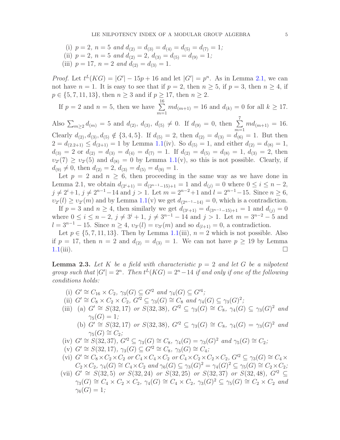(i)  $p = 2$ ,  $n = 5$  and  $d_{(2)} = d_{(3)} = d_{(4)} = d_{(5)} = d_{(7)} = 1$ ; (ii)  $p = 2$ ,  $n = 5$  and  $d_{(2)} = 2$ ,  $d_{(3)} = d_{(5)} = d_{(9)} = 1$ ; (iii)  $p = 17$ ,  $n = 2$  and  $d_{(2)} = d_{(3)} = 1$ .

*Proof.* Let  $t^L(KG) = |G'| - 15p + 16$  and let  $|G'| = p^n$ . As in Lemma [2.1,](#page-1-0) we can not have  $n = 1$ . It is easy to see that if  $p = 2$ , then  $n \geq 5$ , if  $p = 3$ , then  $n \geq 4$ , if  $p \in \{5, 7, 11, 13\}$ , then  $n \ge 3$  and if  $p \ge 17$ , then  $n \ge 2$ .

If 
$$
p = 2
$$
 and  $n = 5$ , then we have  $\sum_{m=1}^{16} md_{(m+1)} = 16$  and  $d_{(k)} = 0$  for all  $k \ge 17$ .

Also  $\sum_{m\geq 2} d_{(m)} = 5$  and  $d_{(2)}$ ,  $d_{(3)}$ ,  $d_{(5)} \neq 0$ . If  $d_{(9)} = 0$ , then  $\sum$ 7  $m=1$  $md_{(m+1)} = 16.$ Clearly  $d_{(2)}$ ,  $d_{(3)}$ ,  $d_{(5)} \notin \{3,4,5\}$ . If  $d_{(5)} = 2$ , then  $d_{(2)} = d_{(3)} = \ddot{d}_{(6)} = 1$ . But then  $2 = d_{(2,2+1)} \leq d_{(2+1)} = 1$  by Lemma [1.1\(](#page-0-0)iv). So  $d_{(5)} = 1$ , and either  $d_{(2)} = d_{(8)} = 1$ ,  $d_{(3)} = 2$  or  $d_{(2)} = d_{(3)} = d_{(4)} = d_{(7)} = 1$ . If  $d_{(2)} = d_{(5)} = d_{(8)} = 1$ ,  $d_{(3)} = 2$ , then  $v_{2'}(7) \ge v_{2'}(5)$  and  $d_{(8)} = 0$  by Lemma [1.1\(](#page-0-0)v), so this is not possible. Clearly, if  $d_{(9)} \neq 0$ , then  $d_{(2)} = 2$ ,  $d_{(3)} = d_{(5)} = d_{(9)} = 1$ .

Let  $p = 2$  and  $n \geq 6$ , then proceeding in the same way as we have done in Lemma 2.1, we obtain  $d_{(2^{i}+1)} = d_{(2^{n-1}-15)+1} = 1$  and  $d_{(j)} = 0$  where  $0 \leq i \leq n-2$ ,  $j \neq 2^{i}+1$ ,  $j \neq 2^{n-1}-14$  and  $j > 1$ . Let  $m = 2^{n-2}+1$  and  $l = 2^{n-1}-15$ . Since  $n \geq 6$ ,  $v_{2'}(l) \ge v_{2'}(m)$  and by Lemma [1.1\(](#page-0-0)v) we get  $d_{(2^{n-1}-14)} = 0$ , which is a contradiction.

If  $p = 3$  and  $n \ge 4$ , then similarly we get  $d_{(3^{i}+1)} = d_{(3^{n-1}-15)+1} = 1$  and  $d_{(i)} = 0$ where  $0 \le i \le n-2$ ,  $j \ne 3^i+1$ ,  $j \ne 3^{n-1}-14$  and  $j > 1$ . Let  $m = 3^{n-2}-5$  and  $l = 3^{n-1} - 15$ . Since  $n \geq 4$ ,  $v_{3'}(l) = v_{3'}(m)$  and so  $d_{(l+1)} = 0$ , a contradiction.

Let  $p \in \{5, 7, 11, 13\}$ . Then by Lemma [1.1\(](#page-0-0)iii),  $n = 2$  which is not possible. Also if  $p = 17$ , then  $n = 2$  and  $d_{(2)} = d_{(3)} = 1$ . We can not have  $p \ge 19$  by Lemma  $1.1(iii)$  $1.1(iii)$ .

<span id="page-4-0"></span>Lemma 2.3. *Let* K *be a field with characteristic* p = 2 *and let* G *be a nilpotent group such that*  $|G'| = 2^n$ . Then  $t^L(KG) = 2^n - 14$  *if and only if one of the following conditions holds:*

- (i)  $G' \cong C_{16} \times C_2$ ,  $\gamma_3(G) \subseteq G'^2$  *and*  $\gamma_4(G) \subseteq G'^4$ ;
- (ii)  $G' \cong C_8 \times C_2 \times C_2$ ,  $G'^2 \subseteq \gamma_3(G) \cong C_8$  *and*  $\gamma_4(G) \subseteq \gamma_3(G)^2$ ;
- (iii) (a)  $G' \cong S(32, 17)$  *or*  $S(32, 38)$ *,*  $G'^2 \subseteq \gamma_3(G) \cong C_8$ *,*  $\gamma_4(G) \subseteq \gamma_3(G)^2$  *and*  $\gamma_5(G) = 1;$ 
	- (b)  $G' \cong S(32, 17)$  *or*  $S(32, 38)$ ,  $G'^2 \subseteq \gamma_3(G) \cong C_8$ ,  $\gamma_4(G) = \gamma_3(G)^2$  *and*  $\gamma_5(G) \cong C_2$ ;
- (iv)  $G' \cong S(32, 37)$ ,  $G'^2 \subseteq \gamma_3(G) \cong C_8$ ,  $\gamma_4(G) = \gamma_3(G)^2$  *and*  $\gamma_5(G) \cong C_2$ ;
- (v)  $G' \cong S(32, 17), \gamma_3(G) \subseteq G'^2 \cong C_8, \gamma_3(G) \cong C_4$ ;
- (vi)  $G' \cong C_8 \times C_2 \times C_2$  *or*  $C_4 \times C_4 \times C_2$  *or*  $C_4 \times C_2 \times C_2 \times C_2$ ,  $G'^2 \subseteq \gamma_3(G) \cong C_4 \times C_2$  $C_2 \times C_2$ ,  $\gamma_4(G) \cong C_4 \times C_2$  *and*  $\gamma_6(G) \subseteq \gamma_3(G)^2 = \gamma_4(G)^2 \subseteq \gamma_5(G) \cong C_2 \times C_2$ ;
- (vii)  $G' \cong S(32, 5)$  *or*  $S(32, 24)$  *or*  $S(32, 25)$  *or*  $S(32, 37)$  *or*  $S(32, 48)$ *,*  $G'^2$  ⊆  $\gamma_3(G) \cong C_4 \times C_2 \times C_2$ ,  $\gamma_4(G) \cong C_4 \times C_2$ ,  $\gamma_3(G)^2 \subseteq \gamma_5(G) \cong C_2 \times C_2$  and  $\gamma_6(G) = 1$ ;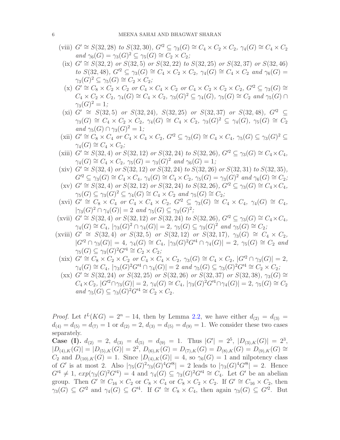- (viii)  $G' \cong S(32, 28)$  *to*  $S(32, 30)$ *,*  $G'^2 \subseteq \gamma_3(G) \cong C_4 \times C_2 \times C_2$ *,*  $\gamma_4(G) \cong C_4 \times C_2$  $and \gamma_6(G) = \gamma_3(G)^2 \subseteq \gamma_5(G) \cong C_2 \times C_2$ ;
- $(ix) G' ≅ S(32, 2)$  *or*  $S(32, 5)$  *or*  $S(32, 22)$  *to*  $S(32, 25)$  *or*  $S(32, 37)$  *or*  $S(32, 46)$ *to*  $S(32, 48)$ *,*  $G'^2 \subseteq \gamma_3(G) \cong C_4 \times C_2 \times C_2$ *,*  $\gamma_4(G) \cong C_4 \times C_2$  *and*  $\gamma_6(G) =$  $\gamma_3(G)^2 \subseteq \gamma_5(G) \cong C_2 \times C_2;$
- (x)  $G' \cong C_8 \times C_2 \times C_2$  *or*  $C_4 \times C_4 \times C_2$  *or*  $C_4 \times C_2 \times C_2 \times C_2$ ,  $G'^2 \subseteq \gamma_3(G) \cong$  $C_4 \times C_2 \times C_2$ ,  $\gamma_4(G) \cong C_4 \times C_2$ ,  $\gamma_3(G)^2 \subseteq \gamma_4(G)$ ,  $\gamma_5(G) \cong C_2$  *and*  $\gamma_5(G) \cap C_2$  $\gamma_3(G)^2=1;$
- (xi)  $G' \cong S(32, 5)$  *or*  $S(32, 24)$ *,*  $S(32, 25)$  *or*  $S(32, 37)$  *or*  $S(32, 48)$ *,*  $G'^2$  ⊆  $\gamma_3(G) \cong C_4 \times C_2 \times C_2$ ,  $\gamma_4(G) \cong C_4 \times C_2$ ,  $\gamma_3(G)^2 \subseteq \gamma_4(G)$ ,  $\gamma_5(G) \cong C_2$ *and*  $\gamma_5(G) \cap \gamma_3(G)^2 = 1$ *;*
- (xii)  $G' \cong C_8 \times C_4$  *or*  $C_4 \times C_4 \times C_2$ ,  $G'^2 \subseteq \gamma_3(G) \cong C_4 \times C_4$ ,  $\gamma_5(G) \subseteq \gamma_3(G)^2 \subseteq$  $\gamma_4(G) \cong C_4 \times C_2$ ;
- (xiii)  $G' \cong S(32, 4)$  *or*  $S(32, 12)$  *or*  $S(32, 24)$  *to*  $S(32, 26)$ *,*  $G'^2 \subseteq \gamma_3(G) \cong C_4 \times C_4$ *,*  $\gamma_4(G) \cong C_4 \times C_2$ ,  $\gamma_5(G) = \gamma_3(G)^2$  *and*  $\gamma_6(G) = 1$ ;
- $(xiv)$   $G' \cong S(32, 4)$  *or*  $S(32, 12)$  *or*  $S(32, 24)$  *to*  $S(32, 26)$  *or*  $S(32, 31)$  *to*  $S(32, 35)$ *,*  $G'^2 \subseteq \gamma_3(G) \cong C_4 \times C_4$ ,  $\gamma_4(G) \cong C_4 \times C_2$ ,  $\gamma_5(G) = \gamma_3(G)^2$  and  $\gamma_6(G) \cong C_2$ ;
- $(xv)$   $G' \cong S(32, 4)$  *or*  $S(32, 12)$  *or*  $S(32, 24)$  *to*  $S(32, 26)$ *,*  $G'^2 \subseteq \gamma_3(G) \cong C_4 \times C_4$ *,*  $\gamma_5(G) \subseteq \gamma_3(G)^2 \subseteq \gamma_4(G) \cong C_4 \times C_2$  *and*  $\gamma_5(G) \cong C_2$ ;
- $(xvi)$   $G' \cong C_8 \times C_4$  *or*  $C_4 \times C_4 \times C_2$ ,  $G'^2 \subseteq \gamma_3(G) \cong C_4 \times C_4$ ,  $\gamma_4(G) \cong C_4$ ,  $|\gamma_3(G)^2 \cap \gamma_4(G)| = 2 \text{ and } \gamma_5(G) \subseteq \gamma_3(G)^2;$
- $(xvii)$   $G' \cong S(32, 4)$  *or*  $S(32, 12)$  *or*  $S(32, 24)$  *to*  $S(32, 26)$ *,*  $G'^2 \subseteq \gamma_3(G) \cong C_4 \times C_4$ *,*  $\gamma_4(G) \cong C_4$ ,  $|\gamma_3(G)^2 \cap \gamma_4(G)| = 2$ ,  $\gamma_5(G) \subseteq \gamma_3(G)^2$  and  $\gamma_5(G) \cong C_2$ ;
- $(xviii) G' \cong S(32, 4)$  *or*  $S(32, 5)$  *or*  $S(32, 12)$  *or*  $S(32, 17)$ *,*  $\gamma_3(G) \cong C_4 \times C_2$ *,*  $|G'^2 \cap \gamma_3(G)| = 4$ ,  $\gamma_4(G) \cong C_4$ ,  $|\gamma_3(G)^2 G'^4 \cap \gamma_4(G)| = 2$ ,  $\gamma_5(G) \cong C_2$  *and*  $\gamma_5(G) \subseteq \gamma_3(G)^2 G'^4 \cong C_2 \times C_2;$
- $(xix)$   $G' \cong C_8 \times C_2 \times C_2$  *or*  $C_4 \times C_4 \times C_2$ ,  $\gamma_3(G) \cong C_4 \times C_2$ ,  $|G'^2 \cap \gamma_3(G)| = 2$ ,  $\gamma_4(G) \cong C_4$ ,  $|\gamma_3(G)^2 G'^4 \cap \gamma_4(G)| = 2$  *and*  $\gamma_5(G) \subseteq \gamma_3(G)^2 G'^4 \cong C_2 \times C_2$ ;
- $(x \times)$   $G' \cong S(32, 24)$  *or*  $S(32, 25)$  *or*  $S(32, 26)$  *or*  $S(32, 37)$  *or*  $S(32, 38)$ *,*  $\gamma_3(G) \cong$  $C_4\times C_2$ ,  $|G'^2 \cap \gamma_3(G)| = 2$ ,  $\gamma_4(G) \cong C_4$ ,  $|\gamma_3(G)^2 G'^4 \cap \gamma_4(G)| = 2$ ,  $\gamma_5(G) \cong C_2$  $and \gamma_5(G) \subseteq \gamma_3(G)^2G'^4 \cong C_2 \times C_2.$

*Proof.* Let  $t^L(KG) = 2^n - 14$ , then by Lemma [2.2,](#page-3-0) we have either  $d_{(2)} = d_{(3)} =$  $d_{(4)} = d_{(5)} = d_{(7)} = 1$  or  $d_{(2)} = 2$ ,  $d_{(3)} = d_{(5)} = d_{(9)} = 1$ . We consider these two cases separately.

Case (I).  $d_{(2)} = 2$ ,  $d_{(3)} = d_{(5)} = d_{(9)} = 1$ . Thus  $|G'| = 2^5$ ,  $|D_{(3),K}(G)| = 2^3$ ,  $|D_{(4),K}(G)| = |D_{(5),K}(G)| = 2^2, D_{(6),K}(G) = D_{(7),K}(G) = D_{(8),K}(G) = D_{(9),K}(G) \cong$  $C_2$  and  $D_{(10),K}(G) = 1$ . Since  $|D_{(4),K}(G)| = 4$ , so  $\gamma_6(G) = 1$  and nilpotency class of G' is at most 2. Also  $|\gamma_5(G)^2 \gamma_3(G)^4 G^{\prime 8}| = 2$  leads to  $|\gamma_3(G)^4 G^{\prime 8}| = 2$ . Hence  $G'^4 \neq 1$ ,  $exp(\gamma_3(G)^2 G'^4) = 4$  and  $\gamma_4(G) \subseteq \gamma_3(G)^2 G'^4 \cong C_4$ . Let G' be an abelian group. Then  $G' \cong C_{16} \times C_2$  or  $C_8 \times C_4$  or  $C_8 \times C_2 \times C_2$ . If  $G' \cong C_{16} \times C_2$ , then  $\gamma_3(G) \subseteq G'^2$  and  $\gamma_4(G) \subseteq G'^4$ . If  $G' \cong C_8 \times C_4$ , then again  $\gamma_3(G) \subseteq G'^2$ . But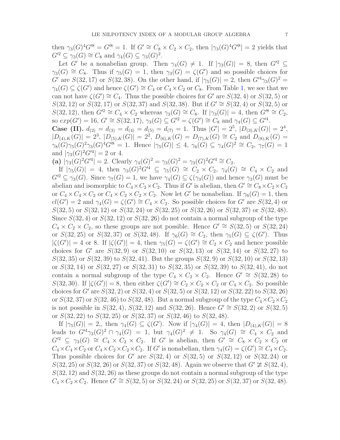then  $\gamma_3(G)^4 G'^8 = G'^8 = 1$ . If  $G' \cong C_8 \times C_2 \times C_2$ , then  $|\gamma_3(G)^4 G'^8| = 2$  yields that  $G'^2 \subseteq \gamma_3(G) \cong C_8$  and  $\gamma_4(G) \subseteq \gamma_3(G)^2$ .

Let G' be a nonabelian group. Then  $\gamma_4(G) \neq 1$ . If  $|\gamma_3(G)| = 8$ , then  $G'^2 \subseteq$  $\gamma_3(G) \cong C_8$ . Thus if  $\gamma_5(G) = 1$ , then  $\gamma_3(G) = \zeta(G')$  and so possible choices for G' are  $S(32, 17)$  or  $S(32, 38)$ . On the other hand, if  $|\gamma_5(G)| = 2$ , then  $G'^4 \gamma_3(G)^2 =$  $\gamma_4(G) \subseteq \zeta(G')$  and hence  $\zeta(G') \cong C_4$  or  $C_4 \times C_2$  or  $C_8$ . From Table [1,](#page-9-0) we see that we can not have  $\zeta(G') \cong C_4$ . Thus the possible choices for G' are  $S(32, 4)$  or  $S(32, 5)$  or S(32, 12) or S(32, 17) or S(32, 37) and S(32, 38). But if  $G' \cong S(32, 4)$  or  $S(32, 5)$  or  $S(32, 12)$ , then  $G'^2 \cong C_4 \times C_2$  whereas  $\gamma_3(G) \cong C_8$ . If  $|\gamma_3(G)| = 4$ , then  $G'^8 \cong C_2$ , so  $exp(G') = 16$ ,  $G' \cong S(32, 17)$ ,  $\gamma_3(G) \subseteq G'^2 = \zeta(G') \cong C_8$  and  $\gamma_4(G) \subseteq G'^4$ .

**Case (II).**  $d_{(2)} = d_{(3)} = d_{(4)} = d_{(5)} = d_{(7)} = 1$ . Thus  $|G'| = 2^5$ ,  $|D_{(3),K}(G)| = 2^4$ ,  $|D_{(4),K}(G)| = 2^3, |D_{(5),K}(G)| = 2^2, D_{(6),K}(G) = D_{(7),K}(G) \cong C_2$  and  $D_{(8),K}(G) =$  $\gamma_8(G)\gamma_5(G)^2\gamma_3(G)^4G'^8 = 1.$  Hence  $|\gamma_5(G)| \leq 4, \gamma_6(G) \subseteq \gamma_4(G)^2 \cong C_2, \gamma_7(G) = 1$ and  $|\gamma_3(G)^2 G'^4| = 2$  or 4.

(a)  $|\gamma_3(G)^2 G'^4| = 2$ . Clearly  $\gamma_4(G)^2 = \gamma_3(G)^2 = \gamma_3(G)^2 G'^4 \cong C_2$ .

If  $|\gamma_5(G)| = 4$ , then  $\gamma_3(G)^2 G'^4 \subseteq \gamma_5(G) \cong C_2 \times C_2$ ,  $\gamma_4(G) \cong C_4 \times C_2$  and  $G'^2 \subseteq \gamma_3(G)$ . Since  $\gamma_7(G) = 1$ , we have  $\gamma_4(G) \subseteq \zeta(\gamma_3(G))$  and hence  $\gamma_3(G)$  must be abelian and isomorphic to  $C_4 \times C_2 \times C_2$ . Thus if G' is abelian, then  $G' \cong C_8 \times C_2 \times C_2$ or  $C_4 \times C_4 \times C_2$  or  $C_4 \times C_2 \times C_2 \times C_2$ . Now let G' be nonabelian. If  $\gamma_6(G) = 1$ , then  $cl(G') = 2$  and  $\gamma_4(G) = \zeta(G') \cong C_4 \times C_2$ . So possible choices for G' are  $S(32, 4)$  or  $S(32, 5)$  or  $S(32, 12)$  or  $S(32, 24)$  or  $S(32, 25)$  or  $S(32, 26)$  or  $S(32, 37)$  or  $S(32, 48)$ . Since  $S(32, 4)$  or  $S(32, 12)$  or  $S(32, 26)$  do not contain a normal subgroup of the type  $C_4 \times C_2 \times C_2$ , so these groups are not possible. Hence  $G' \cong S(32, 5)$  or  $S(32, 24)$ or  $S(32, 25)$  or  $S(32, 37)$  or  $S(32, 48)$ . If  $\gamma_6(G) \cong C_2$ , then  $\gamma_5(G) \subseteq \zeta(G')$ . Thus  $|\zeta(G')|=4$  or 8. If  $|\zeta(G')|=4$ , then  $\gamma_5(G)=\zeta(G')\cong C_2\times C_2$  and hence possible choices for G' are  $S(32, 9)$  or  $S(32, 10)$  or  $S(32, 13)$  or  $S(32, 14)$  or  $S(32, 27)$  to  $S(32, 35)$  or  $S(32, 39)$  to  $S(32, 41)$ . But the groups  $S(32, 9)$  or  $S(32, 10)$  or  $S(32, 13)$ or  $S(32, 14)$  or  $S(32, 27)$  or  $S(32, 31)$  to  $S(32, 35)$  or  $S(32, 39)$  to  $S(32, 41)$ , do not contain a normal subgroup of the type  $C_4 \times C_2 \times C_2$ . Hence  $G' \cong S(32, 28)$  to S(32, 30). If  $|\zeta(G')|=8$ , then either  $\zeta(G') \cong C_2 \times C_2 \times C_2$  or  $C_4 \times C_2$ . So possible choices for G' are  $S(32, 2)$  or  $S(32, 4)$  or  $S(32, 5)$  or  $S(32, 12)$  or  $S(32, 22)$  to  $S(32, 26)$ or  $S(32, 37)$  or  $S(32, 46)$  to  $S(32, 48)$ . But a normal subgroup of the type  $C_4 \times C_2 \times C_2$ is not possible in  $S(32, 4)$ ,  $S(32, 12)$  and  $S(32, 26)$ . Hence  $G' \cong S(32, 2)$  or  $S(32, 5)$ or  $S(32, 22)$  to  $S(32, 25)$  or  $S(32, 37)$  or  $S(32, 46)$  to  $S(32, 48)$ .

If  $|\gamma_5(G)| = 2$ , then  $\gamma_4(G) \subseteq \zeta(G')$ . Now if  $|\gamma_4(G)| = 4$ , then  $|D_{(4),K}(G)| = 8$ leads to  $G'^4\gamma_3(G)^2 \cap \gamma_4(G) = 1$ , but  $\gamma_4(G)^2 \neq 1$ . So  $\gamma_4(G) \cong C_4 \times C_2$  and  $G'^2 \subseteq \gamma_3(G) \cong C_4 \times C_2 \times C_2$ . If G' is abelian, then  $G' \cong C_8 \times C_2 \times C_2$  or  $C_4 \times C_4 \times C_2$  or  $C_4 \times C_2 \times C_2 \times C_2$ . If G' is nonabelian, then  $\gamma_4(G) = \zeta(G') \cong C_4 \times C_2$ . Thus possible choices for G' are  $S(32, 4)$  or  $S(32, 5)$  or  $S(32, 12)$  or  $S(32, 24)$  or  $S(32, 25)$  or  $S(32, 26)$  or  $S(32, 37)$  or  $S(32, 48)$ . Again we observe that  $G' \not\cong S(32, 4)$ ,  $S(32, 12)$  and  $S(32, 26)$  as these groups do not contain a normal subgroup of the type  $C_4 \times C_2 \times C_2$ . Hence  $G' \cong S(32, 5)$  or  $S(32, 24)$  or  $S(32, 25)$  or  $S(32, 37)$  or  $S(32, 48)$ .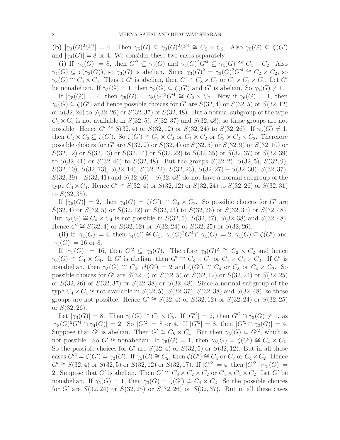(b)  $|\gamma_3(G)^2 G'^4| = 4$ . Then  $\gamma_5(G) \subseteq \gamma_3(G)^2 G'^4 \cong C_2 \times C_2$ . Also  $\gamma_5(G) \subseteq \zeta(G')$ and  $|\gamma_4(G)| = 8$  or 4. We consider these two cases separately :

(i) If  $|\gamma_4(G)| = 8$ , then  $G'^2 \subseteq \gamma_3(G)$  and  $\gamma_3(G)^2 G'^4 \subseteq \gamma_4(G) \cong C_4 \times C_2$ . Also  $\gamma_4(G) \subseteq \zeta(\gamma_3(G))$ , so  $\gamma_3(G)$  is abelian. Since  $\gamma_3(G)^2 = \gamma_3(G)^2 G^{\prime 4} \cong C_2 \times C_2$ , so  $\gamma_3(G) \cong C_4 \times C_4$ . Thus if G' is abelian, then  $G' \cong C_8 \times C_4$  or  $C_4 \times C_4 \times C_2$ . Let G' be nonabelian. If  $\gamma_5(G) = 1$ , then  $\gamma_3(G) \subseteq \zeta(G')$  and G' is abelian. So  $\gamma_5(G) \neq 1$ .

If  $|\gamma_5(G)| = 4$ , then  $\gamma_5(G) = \gamma_3(G)^2 G'^4 \cong C_2 \times C_2$ . Now if  $\gamma_6(G) = 1$ , then  $\gamma_4(G) \subseteq \zeta(G')$  and hence possible choices for G' are  $S(32, 4)$  or  $S(32, 5)$  or  $S(32, 12)$ or  $S(32, 24)$  to  $S(32, 26)$  or  $S(32, 37)$  or  $S(32, 48)$ . But a normal subgroup of the type  $C_4 \times C_4$  is not available in  $S(32, 5)$ ,  $S(32, 37)$  and  $S(32, 48)$ , so these groups are not possible. Hence  $G' \cong S(32, 4)$  or  $S(32, 12)$  or  $S(32, 24)$  to  $S(32, 26)$ . If  $\gamma_6(G) \neq 1$ , then  $C_2 \times C_2 \subseteq \zeta(G')$ . So  $\zeta(G') \cong C_2 \times C_2$  or  $C_4 \times C_2$  or  $C_2 \times C_2 \times C_2$ . Therefore possible choices for G' are  $S(32, 2)$  or  $S(32, 4)$  or  $S(32, 5)$  or  $S(32, 9)$  or  $S(32, 10)$  or  $S(32, 12)$  or  $S(32, 13)$  or  $S(32, 14)$  or  $S(32, 22)$  to  $S(32, 35)$  or  $S(32, 37)$  or  $S(32, 39)$ to  $S(32, 41)$  or  $S(32, 46)$  to  $S(32, 48)$ . But the groups  $S(32, 2)$ ,  $S(32, 5)$ ,  $S(32, 9)$ ,  $S(32, 10), S(32, 13), S(32, 14), S(32, 22), S(32, 23), S(32, 27) - S(32, 30), S(32, 37),$  $S(32, 39) - S(32, 41)$  and  $S(32, 46) - S(32, 48)$  do not have a normal subgroup of the type  $C_4 \times C_4$ . Hence  $G' \cong S(32, 4)$  or  $S(32, 12)$  or  $S(32, 24)$  to  $S(32, 26)$  or  $S(32, 31)$ to  $S(32, 35)$ .

If  $|\gamma_5(G)| = 2$ , then  $\gamma_4(G) = \zeta(G') \cong C_4 \times C_2$ . So possible choices for G' are  $S(32, 4)$  or  $S(32, 5)$  or  $S(32, 12)$  or  $S(32, 24)$  to  $S(32, 26)$  or  $S(32, 37)$  or  $S(32, 48)$ . But  $\gamma_3(G) \cong C_4 \times C_4$  is not possible in  $S(32, 5)$ ,  $S(32, 37)$ ,  $S(32, 38)$  and  $S(32, 48)$ . Hence  $G' \cong S(32, 4)$  or  $S(32, 12)$  or  $S(32, 24)$  or  $S(32, 25)$  or  $S(32, 26)$ .

(ii) If  $|\gamma_4(G)| = 4$ , then  $\gamma_4(G) \cong C_4$ ,  $|\gamma_3(G)^2 G'^4 \cap \gamma_4(G)| = 2$ ,  $\gamma_4(G) \subseteq \zeta(G')$  and  $|\gamma_3(G)| = 16$  or 8.

If  $|\gamma_3(G)| = 16$ , then  $G'^2 \subseteq \gamma_3(G)$ . Therefore  $\gamma_3(G)^2 \cong C_2 \times C_2$  and hence  $\gamma_3(G) \cong C_4 \times C_4$ . If G' is abelian, then  $G' \cong C_8 \times C_4$  or  $C_4 \times C_4 \times C_2$ . If G' is nonabelian, then  $\gamma_5(G) \cong C_2$ ,  $cl(G') = 2$  and  $\zeta(G') \cong C_4$  or  $C_8$  or  $C_4 \times C_2$ . So possible choices for G' are  $S(32, 4)$  or  $S(32, 5)$  or  $S(32, 12)$  or  $S(32, 24)$  or  $S(32, 25)$ or  $S(32, 26)$  or  $S(32, 37)$  or  $S(32, 38)$  or  $S(32, 48)$ . Since a normal subgroup of the type  $C_4 \times C_4$  is not available in  $S(32, 5)$ ,  $S(32, 37)$ ,  $S(32, 38)$  and  $S(32, 48)$ , so these groups are not possible. Hence  $G' \cong S(32, 4)$  or  $S(32, 12)$  or  $S(32, 24)$  or  $S(32, 25)$ or  $S(32, 26)$ .

Let  $|\gamma_3(G)| = 8$ . Then  $\gamma_3(G) \cong C_4 \times C_2$ . If  $|G'^2| = 2$ , then  $G'^2 \cap \gamma_3(G) \neq 1$ , as  $|\gamma_3(G)^2G'^4 \cap \gamma_4(G)| = 2.$  So  $|G'^2| = 8$  or 4. If  $|G'^2| = 8$ , then  $|G'^2 \cap \gamma_3(G)| = 4.$ Suppose that G' is abelian. Then  $G' \cong C_8 \times C_4$ . But then  $\gamma_3(G) \subseteq G'^2$ , which is not possible. So G' is nonabelian. If  $\gamma_5(G) = 1$ , then  $\gamma_3(G) = \zeta(G') \cong C_4 \times C_2$ . So the possible choices for G' are  $S(32, 4)$  or  $S(32, 5)$  or  $S(32, 12)$ . But in all these cases  $G'^2 = \zeta(G') = \gamma_3(G)$ . If  $\gamma_5(G) \cong C_2$ , then  $\zeta(G') \cong C_4$  or  $C_8$  or  $C_4 \times C_2$ . Hence  $G' \cong S(32, 4)$  or  $S(32, 5)$  or  $S(32, 12)$  or  $S(32, 17)$ . If  $|G'^2| = 4$ , then  $|G'^2 \cap \gamma_3(G)| =$ 2. Suppose that G' is abelian. Then  $G' \cong C_8 \times C_2 \times C_2$  or  $C_4 \times C_4 \times C_2$ . Let G' be nonabelian. If  $\gamma_5(G) = 1$ , then  $\gamma_3(G) = \zeta(G') \cong C_4 \times C_2$ . So the possible choices for G' are  $S(32, 24)$  or  $S(32, 25)$  or  $S(32, 26)$  or  $S(32, 37)$ . But in all these cases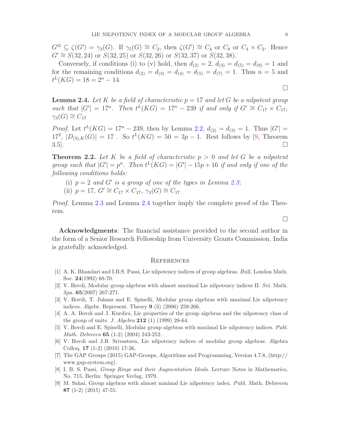$G'^2 \subseteq \zeta(G') = \gamma_3(G)$ . If  $\gamma_5(G) \cong C_2$ , then  $\zeta(G') \cong C_4$  or  $C_8$  or  $C_4 \times C_2$ . Hence  $G' \cong S(32, 24)$  or  $S(32, 25)$  or  $S(32, 26)$  or  $S(32, 37)$  or  $S(32, 38)$ .

Conversely, if conditions (i) to (v) hold, then  $d_{(2)} = 2$ ,  $d_{(3)} = d_{(5)} = d_{(9)} = 1$  and for the remaining conditions  $d_{(2)} = d_{(3)} = d_{(4)} = d_{(5)} = d_{(7)} = 1$ . Thus  $n = 5$  and  $t^L(KG) = 18 = 2<sup>n</sup> - 14.$ 

<span id="page-8-9"></span>**Lemma 2.4.** Let K be a field of characteristic  $p = 17$  and let G be a nilpotent group *such that*  $|G'| = 17^n$ *. Then*  $t^L(KG) = 17^n - 239$  *if and only if*  $G' \cong C_{17} \times C_{17}$ *,*  $\gamma_3(G) \cong C_{17}$ 

*Proof.* Let  $t^L(KG) = 17^n - 239$ , then by Lemma [2.2,](#page-3-0)  $d_{(2)} = d_{(3)} = 1$ . Thus  $|G'| =$  $17^2$ ,  $|D_{(3),K}(G)| = 17$ . So  $t^L(KG) = 50 = 3p - 1$ . Rest follows by [\[9,](#page-8-2) Theorem  $3.5$ ].

Theorem 2.2. *Let* K *be a field of characteristic* p > 0 *and let* G *be a nilpotent group such that*  $|G'| = p^n$ . Then  $t^L(KG) = |G'| - 15p + 16$  *if and only if one of the following conditions holds:*

- (i)  $p = 2$  and G' is a group of one of the types in Lemma [2.3;](#page-4-0)
- (ii)  $p = 17$ ,  $G' \cong C_{17} \times C_{17}$ ,  $\gamma_3(G) \cong C_{17}$

*Proof.* Lemma [2.3](#page-4-0) and Lemma [2.4](#page-8-9) together imply the complete proof of the Theorem.

Acknowledgments: The financial assistance provided to the second author in the form of a Senior Research Fellowship from University Grants Commission, India is gratefully acknowledged.

### **REFERENCES**

- <span id="page-8-8"></span>[1] A. K. Bhandari and I.B.S. Passi, Lie nilpotency indices of group algebras. Bull. London Math. Soc. 24(1992) 68-70.
- <span id="page-8-3"></span>[2] V. Bovdi, Modular group algebras with almost maximal Lie nilpotency indices II. Sci. Math. Jpn. 65(2007) 267-271.
- <span id="page-8-4"></span>[3] V. Bovdi, T. Juhasz and E. Spinelli, Modular group algebras with maximal Lie nilpotency indices. Algebr. Represent. Theory 9 (3) (2006) 259-266.
- <span id="page-8-1"></span>[4] A. A. Bovdi and J. Kurdics, Lie properties of the group algebras and the nilpotency class of the group of units. *J. Algebra* **212** (1) (1999) 28-64.
- <span id="page-8-5"></span>[5] V. Bovdi and E. Spinelli, Modular group algebras with maximal Lie nilpotency indices. Publ. Math. Debrecen 65 (1-2) (2004) 243-252.
- <span id="page-8-6"></span>[6] V. Bovdi and J.B. Srivastava, Lie nilpotency indices of modular group algebras. Algebra Colloq. 17 (1-2) (2010) 17-26.
- <span id="page-8-7"></span>[7] The GAP Groups (2015) GAP-Groups, Algorithms and Programming, Version 4.7.8, (http:// www.gap-system.org).
- <span id="page-8-0"></span>[8] I. B. S. Passi, Group Rings and their Augmentation Ideals. Lecture Notes in Mathematics, No. 715, Berlin: Springer Verlag, 1979.
- <span id="page-8-2"></span>[9] M. Sahai, Group algebras with almost minimal Lie nilpotency index. Publ. Math. Debrecen 87 (1-2) (2015) 47-55.

 $\Box$ 

 $\Box$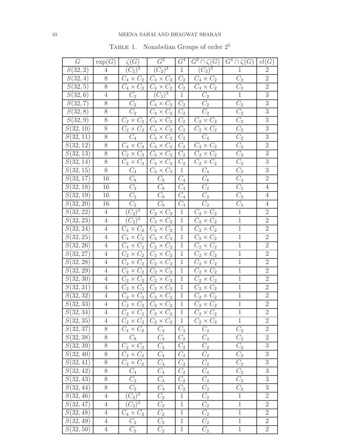# 10 MEENA SAHAI AND BHAGWAT SHARAN

| G                      | $\exp(G)$      | $\zeta(G)$                            | $G^2$                                | $G^4$            | $\overline{G^2} \cap \zeta(G)$   | $\overline{G^4} \cap \zeta(G)$ | cl(G)            |
|------------------------|----------------|---------------------------------------|--------------------------------------|------------------|----------------------------------|--------------------------------|------------------|
| S(32, 2)               | $\overline{4}$ | $\sqrt{3}$<br>$\overline{C_2}$        | $\overline{C_2)^3}$                  | $\,1$            | $(\overline{C_2})^3$             | $\mathbf 1$                    | $\sqrt{2}$       |
| $\overline{S(32,4)}$   | $8\,$          | $C_4$<br>$\times C_2$                 | $C_4 \times C_2$                     | $\overline{C_2}$ | $C_4 \times C_2$                 | $\overline{C_2}$               | $\overline{2}$   |
| S(32, 5)               | $8\,$          | $C_4 \times C_2$                      | $C_4\times C_2$                      | $\mathcal{C}_2$  | $C_4 \times C_2$                 | $\overline{C_2}$               | $\sqrt{2}$       |
| S(32,6)                | $\sqrt{4}$     | $\overline{C_2}$                      | $\overline{(C_2)^3}$                 | $\overline{1}$   | $\overline{C_2}$                 | $\overline{1}$                 | $\mathfrak{Z}$   |
| $\overline{S(32,7)}$   | $8\,$          | $\overline{C}_2$                      | $C_4\times C_2$                      | $\overline{C_2}$ | $C_2$                            | $\overline{C_2}$               | $\overline{3}$   |
| S(32,8)                | $\overline{8}$ | $\overline{C_2}$                      | $C_4 \times C_2$                     | $\overline{C_2}$ | $\overline{C_2}$                 | $\overline{C_2}$               | $\sqrt{3}$       |
| S(32,9)                | 8              | $C_2 \times C_2$                      | $C_4\times C_2$                      | $\overline{C_2}$ | $C_2 \times C_2$                 | $\overline{C_2}$               | $\overline{3}$   |
| S(32, 10)              | $8\,$          | $C_2 \times C_2$                      | $C_4\times C_2$                      | $C_2$            | $C_2 \times C_2$                 | $\overline{C_2}$               | $\boldsymbol{3}$ |
| S(32, 11)              | $8\,$          | $\overline{C_4}$                      | $C_4\times C_2$                      | $C_2$            | $\overline{C_4}$                 | $\overline{C_2}$               | $\sqrt{3}$       |
| S(32, 12)              | $8\,$          | $C_4 \times C_2$                      | $C_4 \times C_2$                     | $\overline{C_2}$ | $C_4 \times C_2$                 | $\overline{C_2}$               | $\sqrt{2}$       |
| $\overline{S}(32,13)$  | $8\,$          | $C_2$<br>$C_2 \times$                 | $C_4\times C_2$                      | $\overline{C_2}$ | $C_2 \times C_2$                 | $\overline{C_2}$               | $\mathfrak{Z}$   |
| $\overline{S(32, 14)}$ | $8\,$          | $C_2 \times C_2$                      | $C_4\times C_2$                      | $C_2$            | $C_2 \times C_2$                 | $\overline{C_2}$               | $\sqrt{3}$       |
| $\overline{S}(32,15)$  | $8\,$          | $\overline{C}_4$                      | $C_4 \times C_2$                     | $\,1$            | $\overline{C_4}$                 | $\overline{C_2}$               | $\mathfrak{Z}$   |
| $\overline{S(32,17)}$  | 16             | $C_8$                                 | $C_8$                                | $\overline{C_4}$ | $\overline{C_8}$                 | $\overline{C_4}$               | $\overline{2}$   |
| S(32, 18)              | 16             | $\overline{C_2}$                      | $\overline{C_8}$                     | $\overline{C_4}$ | $\overline{C_2}$                 | $\overline{C_2}$               | $\overline{4}$   |
| S(32, 19)              | 16             | $\overline{C_2}$                      | $\overline{C_8}$                     | $\overline{C_4}$ | $\overline{C_2}$                 | $\overline{C_2}$               | $\overline{4}$   |
| S(32, 20)              | 16             | $\overline{C_2}$                      | $\overline{C_8}$                     | $\mathcal{C}_4$  | $\overline{C_2}$                 | $\overline{C_2}$               | $\overline{4}$   |
| S(32, 22)              | $\overline{4}$ | $\frac{3}{3}$<br>$\overline{C_2}$     | $C_2 \times C_2$                     | $\,1$            | $\times C_2$<br>$\overline{C}_2$ | $\overline{1}$                 | $\sqrt{2}$       |
| S(32, 23)              | $\overline{4}$ | $\frac{3}{2}$<br>$\boxed{C_2}$        | $\overline{C}_2$<br>$\times C_2$     | $\mathbf{1}$     | $\times C_2$<br>$C_2$            | $\overline{1}$                 | $\overline{2}$   |
| S(32, 24)              | $\,4\,$        | $\times$<br>$C_2$<br>$\overline{C_4}$ | $C_2 \times C_2$                     | $\mathbf{1}$     | $\times C_2$<br>$\overline{C_2}$ | $\overline{1}$                 | $\overline{2}$   |
| $S(\overline{32, 25})$ | $\,4\,$        | $C_4$ $\times$<br>$C_2$               | $C_2 \times C_2$                     | $\mathbf{1}$     | $C_2 \times C_2$                 | $\overline{1}$                 | $\sqrt{2}$       |
| S(32, 26)              | $\sqrt{4}$     | $C_4\times C_2$                       | $C_2 \times C_2$                     | $\mathbf 1$      | $C_2 \times C_2$                 | $\overline{1}$                 | $\overline{2}$   |
| S(32, 27)              | $\overline{4}$ | $C_2$ $\times$<br>$C_2$               | $C_2 \times C_2$                     | $\mathbf{1}$     | $C_2$<br>$\times C_2$            | $\overline{1}$                 | $\overline{2}$   |
| S(32, 28)              | $\,4\,$        | $C_2$ $\times$<br>$C_2$               | $C_2 \times C_2$                     | $\mathbf 1$      | $C_2 \times C_2$                 | $\overline{1}$                 | $\overline{2}$   |
| S(32, 29)              | $\,4\,$        | $C_2 \times C_2$                      | $C_2 \times C_2$                     | $\mathbf{1}$     | $C_2 \times C_2$                 | $\overline{1}$                 | $\overline{2}$   |
| S(32,30)               | $\overline{4}$ | $C_2 \times$<br>$C_2$                 | $C_2 \times$<br>$C_2$                | $\mathbf 1$      | $\overline{C_2 \times C_2}$      | $\overline{1}$                 | $\overline{2}$   |
| S(32, 31)              | $\overline{4}$ | $C_2$<br>$C_2 \times$                 | $C_2 \times C_2$                     | $\mathbf 1$      | $C_2 \times C_2$                 | $\overline{1}$                 | $\overline{2}$   |
| S(32, 32)              | $\overline{4}$ | $C_2 \times$<br>$C_2$                 | $C_2 \times C_2$                     | $\mathbf 1$      | $C_2 \times C_2$                 | $\overline{1}$                 | $\overline{2}$   |
| S(32, 33)              | $\overline{4}$ | $C_2 \times C_2$                      | $C_2 \times C_2$                     | $\mathbf{1}$     | $C_2 \times C_2$                 | $\overline{1}$                 | $\overline{2}$   |
| S(32, 34)              | 4              |                                       | $C_2 \times C_2 \mid C_2 \times C_2$ | $\mathbf 1$      | $C_2 \times C_2$                 | $\mathbf 1$                    | $\sqrt{2}$       |
| S(32, 35)              | $\overline{4}$ | $C_2 \times C_2$                      | $C_2 \times C_2$                     | $\,1\,$          | $C_2 \times C_2$                 | $\,1$                          | $\sqrt{2}$       |
| S(32, 37)              | 8              | $C_4 \times C_2$                      | $C_4$                                | $C_2$            | $\mathcal{C}_4$                  | $\overline{C_2}$               | $\overline{2}$   |
| S(32, 38)              | $\overline{8}$ | $C_8$                                 | $\overline{C_4}$                     | $\overline{C_2}$ | $\overline{C_4}$                 | $\overline{C_2}$               | $\overline{2}$   |
| S(32, 39)              | $8\,$          | $C_2 \times C_2$                      | $C_4$                                | $C_2$            | $C_2$                            | $C_2$                          | $\sqrt{3}$       |
| S(32, 40)              | $8\,$          | $C_2 \times C_2$                      | $\overline{C_4}$                     | $\mathcal{C}_2$  | $\overline{C_2}$                 | $\overline{C_2}$               | $\boldsymbol{3}$ |
| S(32, 41)              | $8\,$          | $C_2 \times C_2$                      | $\mathcal{C}_4$                      | $C_2$            | $\overline{C_2}$                 | $\overline{C_2}$               | $\sqrt{3}$       |
| S(32, 42)              | $8\,$          | $\overline{C_4}$                      | $\overline{C_4}$                     | $\overline{C_2}$ | $\overline{C_4}$                 | $\overline{C_2}$               | $\overline{3}$   |
| S(32, 43)              | $8\,$          | $\mathcal{C}_2$                       | $\mathcal{C}_4$                      | $C_2$            | $\overline{C_2}$                 | $C_2$                          | $\sqrt{3}$       |
| S(32, 44)              | $8\,$          | $\overline{C_2}$                      | $\overline{C_4}$                     | $\mathcal{C}_2$  | $\overline{C_2}$                 | $\overline{C_2}$               | $\overline{3}$   |
| S(32, 46)              | $\sqrt{4}$     | $(C_2)^3$                             | $\mathcal{C}_2$                      | $\mathbf 1$      | $\overline{C_2}$                 | $\,1$                          | $\overline{2}$   |
| S(32, 47)              | $\overline{4}$ | $\overline{(C_2)^3}$                  | $\overline{C_2}$                     | $\mathbf{1}$     | $\overline{C_2}$                 | $\overline{1}$                 | $\overline{2}$   |
| S(32, 48)              | $\,4\,$        | $C_4 \times C_2$                      | $\overline{C_2}$                     | $\,1$            | $\overline{C_2}$                 | $\,1$                          | $\overline{2}$   |
| S(32, 49)              | $\sqrt{4}$     | $\overline{C_2}$                      | $\overline{C_2}$                     | $\mathbf{1}$     | $\overline{C_2}$                 | $\overline{1}$                 | $\overline{2}$   |
| S(32, 50)              | $\overline{4}$ | $C_2$                                 | $C_2$                                | $\mathbf{1}$     | $\mathcal{C}_2$                  | $\,1$                          | $\overline{2}$   |

<span id="page-9-0"></span>TABLE 1. Nonabelian Groups of order  $2^5$